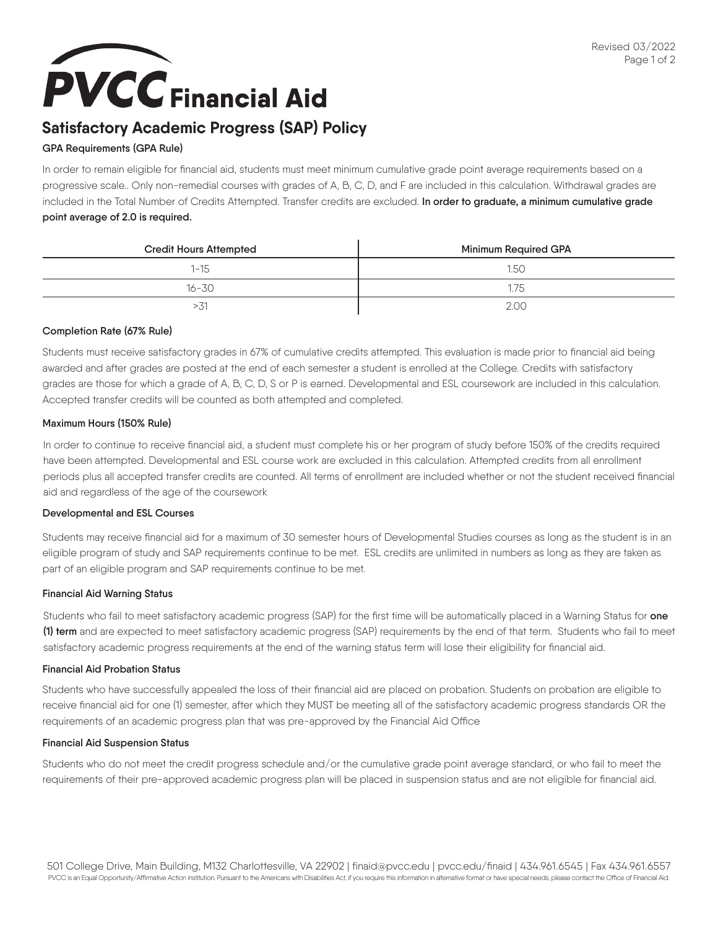## **PVCC** Financial Aid

## **Satisfactory Academic Progress (SAP) Policy**

#### **GPA Requirements (GPA Rule)**

In order to remain eligible for financial aid, students must meet minimum cumulative grade point average requirements based on a progressive scale.. Only non-remedial courses with grades of A, B, C, D, and F are included in this calculation. Withdrawal grades are included in the Total Number of Credits Attempted. Transfer credits are excluded. **In order to graduate, a minimum cumulative grade point average of 2.0 is required.**

| <b>Credit Hours Attempted</b> | Minimum Required GPA |
|-------------------------------|----------------------|
| $1 - 15$                      | 1.50                 |
| $16 - 30$                     | 75                   |
| - 31                          | 2.00                 |

#### **Completion Rate (67% Rule)**

Students must receive satisfactory grades in 67% of cumulative credits attempted. This evaluation is made prior to financial aid being awarded and after grades are posted at the end of each semester a student is enrolled at the College. Credits with satisfactory grades are those for which a grade of A, B, C, D, S or P is earned. Developmental and ESL coursework are included in this calculation. Accepted transfer credits will be counted as both attempted and completed.

#### **Maximum Hours (150% Rule)**

In order to continue to receive financial aid, a student must complete his or her program of study before 150% of the credits required have been attempted. Developmental and ESL course work are excluded in this calculation. Attempted credits from all enrollment periods plus all accepted transfer credits are counted. All terms of enrollment are included whether or not the student received financial aid and regardless of the age of the coursework

#### **Developmental and ESL Courses**

Students may receive financial aid for a maximum of 30 semester hours of Developmental Studies courses as long as the student is in an eligible program of study and SAP requirements continue to be met. ESL credits are unlimited in numbers as long as they are taken as part of an eligible program and SAP requirements continue to be met.

#### **Financial Aid Warning Status**

Students who fail to meet satisfactory academic progress (SAP) for the first time will be automatically placed in a Warning Status for **one (1) term** and are expected to meet satisfactory academic progress (SAP) requirements by the end of that term. Students who fail to meet satisfactory academic progress requirements at the end of the warning status term will lose their eligibility for financial aid.

#### **Financial Aid Probation Status**

Students who have successfully appealed the loss of their financial aid are placed on probation. Students on probation are eligible to receive financial aid for one (1) semester, after which they MUST be meeting all of the satisfactory academic progress standards OR the requirements of an academic progress plan that was pre-approved by the Financial Aid Office

#### **Financial Aid Suspension Status**

Students who do not meet the credit progress schedule and/or the cumulative grade point average standard, or who fail to meet the requirements of their pre-approved academic progress plan will be placed in suspension status and are not eligible for financial aid.